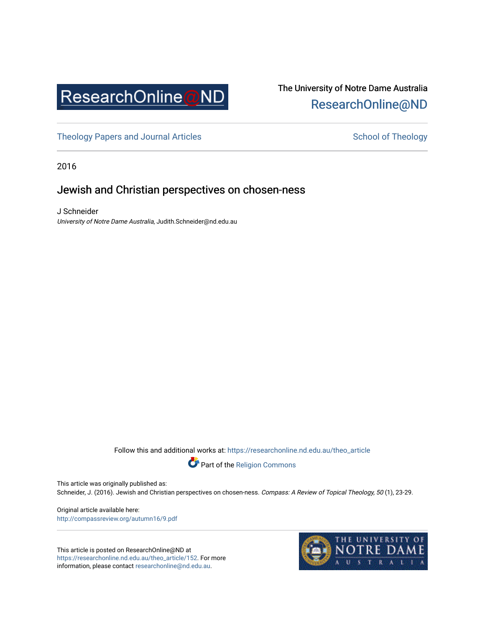

# The University of Notre Dame Australia [ResearchOnline@ND](https://researchonline.nd.edu.au/)

[Theology Papers and Journal Articles](https://researchonline.nd.edu.au/theo_article) Theology School of Theology

2016

# Jewish and Christian perspectives on chosen-ness

J Schneider University of Notre Dame Australia, Judith.Schneider@nd.edu.au

Follow this and additional works at: [https://researchonline.nd.edu.au/theo\\_article](https://researchonline.nd.edu.au/theo_article?utm_source=researchonline.nd.edu.au%2Ftheo_article%2F152&utm_medium=PDF&utm_campaign=PDFCoverPages) 



Part of the [Religion Commons](http://network.bepress.com/hgg/discipline/538?utm_source=researchonline.nd.edu.au%2Ftheo_article%2F152&utm_medium=PDF&utm_campaign=PDFCoverPages) 

This article was originally published as:

Schneider, J. (2016). Jewish and Christian perspectives on chosen-ness. Compass: A Review of Topical Theology, 50 (1), 23-29.

Original article available here: <http://compassreview.org/autumn16/9.pdf>

This article is posted on ResearchOnline@ND at [https://researchonline.nd.edu.au/theo\\_article/152](https://researchonline.nd.edu.au/theo_article/152). For more information, please contact [researchonline@nd.edu.au.](mailto:researchonline@nd.edu.au)

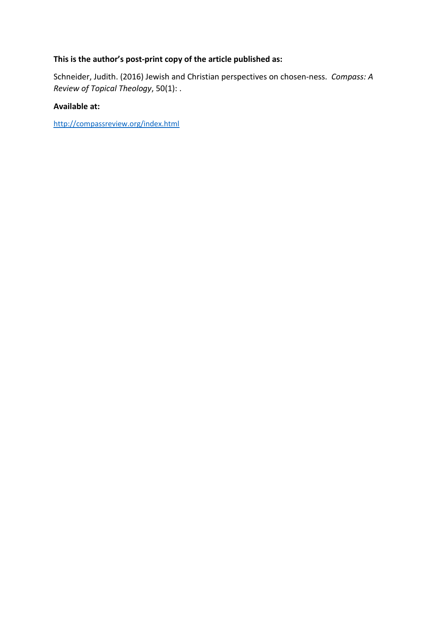## **This is the author's post-print copy of the article published as:**

Schneider, Judith. (2016) Jewish and Christian perspectives on chosen-ness. *Compass: A Review of Topical Theology*, 50(1): .

## **Available at:**

<http://compassreview.org/index.html>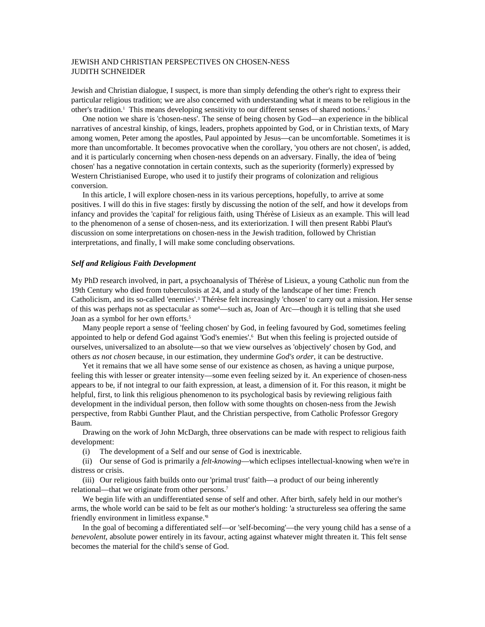## JEWISH AND CHRISTIAN PERSPECTIVES ON CHOSEN-NESS JUDITH SCHNEIDER

Jewish and Christian dialogue, I suspect, is more than simply defending the other's right to express their particular religious tradition; we are also concerned with understanding what it means to be religious in the other's tradition.<sup>1</sup> This means developing sensitivity to our different senses of shared notions.<sup>2</sup>

One notion we share is 'chosen-ness'. The sense of being chosen by God—an experience in the biblical narratives of ancestral kinship, of kings, leaders, prophets appointed by God, or in Christian texts, of Mary among women, Peter among the apostles, Paul appointed by Jesus—can be uncomfortable. Sometimes it is more than uncomfortable. It becomes provocative when the corollary, 'you others are not chosen', is added, and it is particularly concerning when chosen-ness depends on an adversary. Finally, the idea of 'being chosen' has a negative connotation in certain contexts, such as the superiority (formerly) expressed by Western Christianised Europe, who used it to justify their programs of colonization and religious conversion.

In this article, I will explore chosen-ness in its various perceptions, hopefully, to arrive at some positives. I will do this in five stages: firstly by discussing the notion of the self, and how it develops from infancy and provides the 'capital' for religious faith, using Thérèse of Lisieux as an example. This will lead to the phenomenon of a sense of chosen-ness, and its exteriorization. I will then present Rabbi Plaut's discussion on some interpretations on chosen-ness in the Jewish tradition, followed by Christian interpretations, and finally, I will make some concluding observations.

#### *Self and Religious Faith Development*

My PhD research involved, in part, a psychoanalysis of Thérèse of Lisieux, a young Catholic nun from the 19th Century who died from tuberculosis at 24, and a study of the landscape of her time: French Catholicism, and its so-called 'enemies'.3 Thérèse felt increasingly 'chosen' to carry out a mission. Her sense of this was perhaps not as spectacular as some<sup>4</sup>—such as, Joan of Arc—though it is telling that she used Joan as a symbol for her own efforts.<sup>5</sup>

Many people report a sense of 'feeling chosen' by God, in feeling favoured by God, sometimes feeling appointed to help or defend God against 'God's enemies'.<sup>6</sup> But when this feeling is projected outside of ourselves, universalized to an absolute—so that we view ourselves as 'objectively' chosen by God, and others *as not chosen* because, in our estimation, they undermine *God's order*, it can be destructive.

Yet it remains that we all have some sense of our existence as chosen, as having a unique purpose, feeling this with lesser or greater intensity—some even feeling seized by it. An experience of chosen-ness appears to be, if not integral to our faith expression, at least, a dimension of it. For this reason, it might be helpful, first, to link this religious phenomenon to its psychological basis by reviewing religious faith development in the individual person, then follow with some thoughts on chosen-ness from the Jewish perspective, from Rabbi Gunther Plaut, and the Christian perspective, from Catholic Professor Gregory Baum.

Drawing on the work of John McDargh, three observations can be made with respect to religious faith development:

(i) The development of a Self and our sense of God is inextricable.

(ii) Our sense of God is primarily a *felt-knowing*—which eclipses intellectual-knowing when we're in distress or crisis.

(iii) Our religious faith builds onto our 'primal trust' faith—a product of our being inherently relational—that we originate from other persons.<sup>7</sup>

We begin life with an undifferentiated sense of self and other. After birth, safely held in our mother's arms, the whole world can be said to be felt as our mother's holding: 'a structureless sea offering the same friendly environment in limitless expanse.'8

In the goal of becoming a differentiated self—or 'self-becoming'—the very young child has a sense of a *benevolent*, absolute power entirely in its favour, acting against whatever might threaten it. This felt sense becomes the material for the child's sense of God.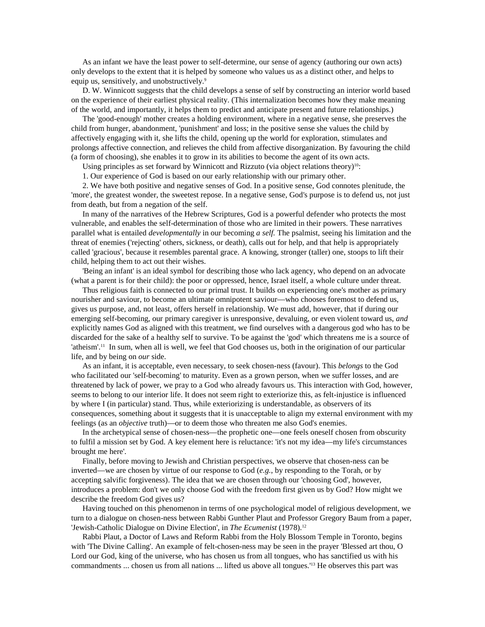As an infant we have the least power to self-determine, our sense of agency (authoring our own acts) only develops to the extent that it is helped by someone who values us as a distinct other, and helps to equip us, sensitively, and unobstructively.<sup>9</sup>

D. W. Winnicott suggests that the child develops a sense of self by constructing an interior world based on the experience of their earliest physical reality. (This internalization becomes how they make meaning of the world, and importantly, it helps them to predict and anticipate present and future relationships.)

The 'good-enough' mother creates a holding environment, where in a negative sense, she preserves the child from hunger, abandonment, 'punishment' and loss; in the positive sense she values the child by affectively engaging with it, she lifts the child, opening up the world for exploration, stimulates and prolongs affective connection, and relieves the child from affective disorganization. By favouring the child (a form of choosing), she enables it to grow in its abilities to become the agent of its own acts.

Using principles as set forward by Winnicott and Rizzuto (via object relations theory)<sup>10</sup>:

1. Our experience of God is based on our early relationship with our primary other.

2. We have both positive and negative senses of God. In a positive sense, God connotes plenitude, the 'more', the greatest wonder, the sweetest repose. In a negative sense, God's purpose is to defend us, not just from death, but from a negation of the self.

In many of the narratives of the Hebrew Scriptures, God is a powerful defender who protects the most vulnerable, and enables the self-determination of those who are limited in their powers. These narratives parallel what is entailed *developmentally* in our becoming *a self.* The psalmist, seeing his limitation and the threat of enemies ('rejecting' others, sickness, or death), calls out for help, and that help is appropriately called 'gracious', because it resembles parental grace. A knowing, stronger (taller) one, stoops to lift their child, helping them to act out their wishes.

'Being an infant' is an ideal symbol for describing those who lack agency, who depend on an advocate (what a parent is for their child): the poor or oppressed, hence, Israel itself, a whole culture under threat.

Thus religious faith is connected to our primal trust. It builds on experiencing one's mother as primary nourisher and saviour, to become an ultimate omnipotent saviour—who chooses foremost to defend us, gives us purpose, and, not least, offers herself in relationship. We must add, however, that if during our emerging self-becoming, our primary caregiver is unresponsive, devaluing, or even violent toward us, *and* explicitly names God as aligned with this treatment, we find ourselves with a dangerous god who has to be discarded for the sake of a healthy self to survive. To be against the 'god' which threatens me is a source of 'atheism'.11 In sum, when all is well, we feel that God chooses us, both in the origination of our particular life, and by being on *our* side.

As an infant, it is acceptable, even necessary, to seek chosen-ness (favour). This *belongs* to the God who facilitated our 'self-becoming' to maturity. Even as a grown person, when we suffer losses, and are threatened by lack of power, we pray to a God who already favours us. This interaction with God, however, seems to belong to our interior life. It does not seem right to exteriorize this, as felt-injustice is influenced by where I (in particular) stand. Thus, while exteriorizing is understandable, as observers of its consequences, something about it suggests that it is unacceptable to align my external environment with my feelings (as an *objective* truth)—or to deem those who threaten me also God's enemies.

In the archetypical sense of chosen-ness—the prophetic one—one feels oneself chosen from obscurity to fulfil a mission set by God. A key element here is reluctance: 'it's not my idea—my life's circumstances brought me here'.

Finally, before moving to Jewish and Christian perspectives, we observe that chosen-ness can be inverted—we are chosen by virtue of our response to God (*e.g.*, by responding to the Torah, or by accepting salvific forgiveness). The idea that we are chosen through our 'choosing God', however, introduces a problem: don't we only choose God with the freedom first given us by God? How might we describe the freedom God gives us?

Having touched on this phenomenon in terms of one psychological model of religious development, we turn to a dialogue on chosen-ness between Rabbi Gunther Plaut and Professor Gregory Baum from a paper, 'Jewish-Catholic Dialogue on Divine Election', in *The Ecumenist* (1978).12

Rabbi Plaut, a Doctor of Laws and Reform Rabbi from the Holy Blossom Temple in Toronto, begins with 'The Divine Calling'. An example of felt-chosen-ness may be seen in the prayer 'Blessed art thou, O Lord our God, king of the universe, who has chosen us from all tongues, who has sanctified us with his commandments ... chosen us from all nations ... lifted us above all tongues.'13 He observes this part was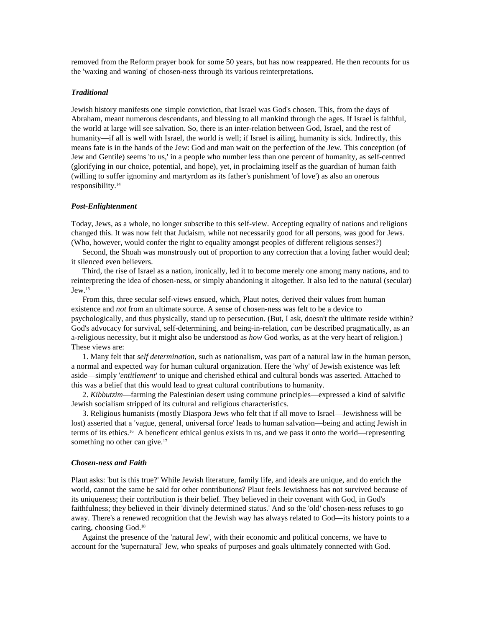removed from the Reform prayer book for some 50 years, but has now reappeared. He then recounts for us the 'waxing and waning' of chosen-ness through its various reinterpretations.

## *Traditional*

Jewish history manifests one simple conviction, that Israel was God's chosen. This, from the days of Abraham, meant numerous descendants, and blessing to all mankind through the ages. If Israel is faithful, the world at large will see salvation. So, there is an inter-relation between God, Israel, and the rest of humanity—if all is well with Israel, the world is well; if Israel is ailing, humanity is sick. Indirectly, this means fate is in the hands of the Jew: God and man wait on the perfection of the Jew. This conception (of Jew and Gentile) seems 'to us,' in a people who number less than one percent of humanity, as self-centred (glorifying in our choice, potential, and hope), yet, in proclaiming itself as the guardian of human faith (willing to suffer ignominy and martyrdom as its father's punishment 'of love') as also an onerous responsibility.14

#### *Post-Enlightenment*

Today, Jews, as a whole, no longer subscribe to this self-view. Accepting equality of nations and religions changed this. It was now felt that Judaism, while not necessarily good for all persons, was good for Jews. (Who, however, would confer the right to equality amongst peoples of different religious senses?)

Second, the Shoah was monstrously out of proportion to any correction that a loving father would deal; it silenced even believers.

Third, the rise of Israel as a nation, ironically, led it to become merely one among many nations, and to reinterpreting the idea of chosen-ness, or simply abandoning it altogether. It also led to the natural (secular)  $Jew.<sup>15</sup>$ 

From this, three secular self-views ensued, which, Plaut notes, derived their values from human existence and *not* from an ultimate source. A sense of chosen-ness was felt to be a device to psychologically, and thus physically, stand up to persecution. (But, I ask, doesn't the ultimate reside within? God's advocacy for survival, self-determining, and being-in-relation, *can* be described pragmatically, as an a-religious necessity, but it might also be understood as *how* God works, as at the very heart of religion.) These views are:

1. Many felt that *self determination*, such as nationalism, was part of a natural law in the human person, a normal and expected way for human cultural organization. Here the 'why' of Jewish existence was left aside—simply '*entitlement'* to unique and cherished ethical and cultural bonds was asserted. Attached to this was a belief that this would lead to great cultural contributions to humanity.

2. *Kibbutzim*—farming the Palestinian desert using commune principles—expressed a kind of salvific Jewish socialism stripped of its cultural and religious characteristics.

3. Religious humanists (mostly Diaspora Jews who felt that if all move to Israel—Jewishness will be lost) asserted that a 'vague, general, universal force' leads to human salvation—being and acting Jewish in terms of its ethics.16 A beneficent ethical genius exists in us, and we pass it onto the world—representing something no other can give.<sup>17</sup>

#### *Chosen-ness and Faith*

Plaut asks: 'but is this true?' While Jewish literature, family life, and ideals are unique, and do enrich the world, cannot the same be said for other contributions? Plaut feels Jewishness has not survived because of its uniqueness; their contribution is their belief. They believed in their covenant with God, in God's faithfulness; they believed in their 'divinely determined status.' And so the 'old' chosen-ness refuses to go away. There's a renewed recognition that the Jewish way has always related to God—its history points to a caring, choosing God.18

Against the presence of the 'natural Jew', with their economic and political concerns, we have to account for the 'supernatural' Jew, who speaks of purposes and goals ultimately connected with God.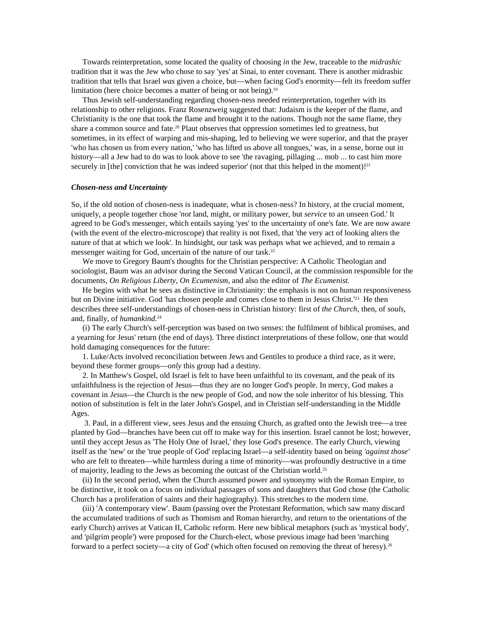Towards reinterpretation, some located the quality of choosing *in* the Jew, traceable to the *midrashic* tradition that it was the Jew who chose to say 'yes' at Sinai, to enter covenant. There is another midrashic tradition that tells that Israel *was* given a choice, but—when facing God's enormity—felt its freedom suffer limitation (here choice becomes a matter of being or not being).<sup>19</sup>

Thus Jewish self-understanding regarding chosen-ness needed reinterpretation, together with its relationship to other religions. Franz Rosenzweig suggested that: Judaism is the keeper of the flame, and Christianity is the one that took the flame and brought it to the nations. Though not the same flame, they share a common source and fate.<sup>20</sup> Plaut observes that oppression sometimes led to greatness, but sometimes, in its effect of warping and mis-shaping, led to believing we were superior, and that the prayer 'who has chosen us from every nation,' 'who has lifted us above all tongues,' was, in a sense, borne out in history—all a Jew had to do was to look above to see 'the ravaging, pillaging ... mob ... to cast him more securely in [the] conviction that he was indeed superior' (not that this helped in the moment)!<sup>21</sup>

#### *Chosen-ness and Uncertainty*

So, if the old notion of chosen-ness is inadequate, what is chosen-ness? In history, at the crucial moment, uniquely, a people together chose '*not* land, might, or military power, but *service* to an unseen God.' It agreed to be God's messenger, which entails saying 'yes' to the uncertainty of one's fate. We are now aware (with the event of the electro-microscope) that reality is not fixed, that 'the very act of looking alters the nature of that at which we look'. In hindsight, our task was perhaps what we achieved, and to remain a messenger waiting for God, uncertain of the nature of our task.22

We move to Gregory Baum's thoughts for the Christian perspective: A Catholic Theologian and sociologist, Baum was an advisor during the Second Vatican Council, at the commission responsible for the documents, *On Religious Liberty*, *On Ecumenism*, and also the editor of *The Ecumenist.*

He begins with what he sees as distinctive in Christianity: the emphasis is not on human responsiveness but on Divine initiative. God 'has chosen people and comes close to them in Jesus Christ.<sup>'23</sup> He then describes three self-understandings of chosen-ness in Christian history: first of *the Church*, then, of *souls*, and, finally, of *humankind.*<sup>24</sup>

(i) The early Church's self-perception was based on two senses: the fulfilment of biblical promises, and a yearning for Jesus' return (the end of days). Three distinct interpretations of these follow, one that would hold damaging consequences for the future:

1. Luke/Acts involved reconciliation between Jews and Gentiles to produce a third race, as it were, beyond these former groups—*only* this group had a destiny.

2. In Matthew's Gospel, old Israel is felt to have been unfaithful to its covenant, and the peak of its unfaithfulness is the rejection of Jesus—thus they are no longer God's people. In mercy, God makes a covenant in *Jesus*—the Church is the new people of God, and now the sole inheritor of his blessing. This notion of substitution is felt in the later John's Gospel, and in Christian self-understanding in the Middle Ages.

3. Paul, in a different view, sees Jesus and the ensuing Church, as grafted onto the Jewish tree—a tree planted by God—branches have been cut off to make way for this insertion. Israel cannot be lost; however, until they accept Jesus as 'The Holy One of Israel,' they lose God's presence. The early Church, viewing itself as the 'new' or the 'true people of God' replacing Israel—a self-identity based on being *'against those'* who are felt to threaten—while harmless during a time of minority—was profoundly destructive in a time of majority, leading to the Jews as becoming the outcast of the Christian world.25

(ii) In the second period, when the Church assumed power and synonymy with the Roman Empire, to be distinctive, it took on a focus on individual passages of sons and daughters that God chose (the Catholic Church has a proliferation of saints and their hagiography). This stretches to the modern time.

(iii) 'A contemporary view'. Baum (passing over the Protestant Reformation, which saw many discard the accumulated traditions of such as Thomism and Roman hierarchy, and return to the orientations of the early Church) arrives at Vatican II, Catholic reform. Here new biblical metaphors (such as 'mystical body', and 'pilgrim people') were proposed for the Church-elect, whose previous image had been 'marching forward to a perfect society—a city of God' (which often focused on removing the threat of heresy).26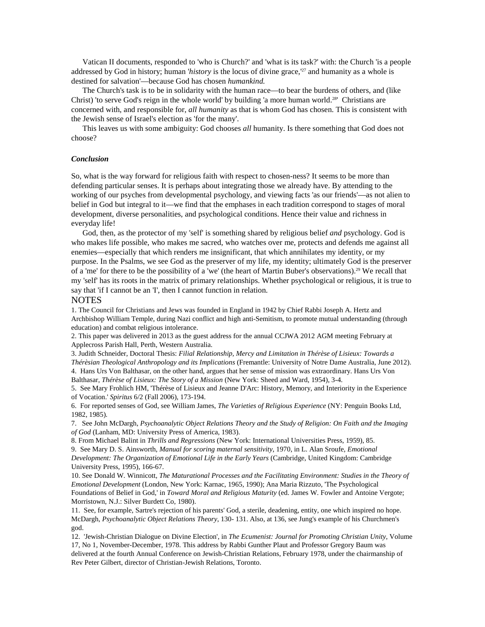Vatican II documents, responded to 'who is Church?' and 'what is its task?' with: the Church 'is a people addressed by God in history; human '*history* is the locus of divine grace,<sup>'27</sup> and humanity as a whole is destined for salvation'—because God has chosen *humankind.*

The Church's task is to be in solidarity with the human race—to bear the burdens of others, and (like Christ) 'to serve God's reign in the whole world' by building 'a more human world.<sup>28'</sup> Christians are concerned with, and responsible for, *all humanity* as that is whom God has chosen. This is consistent with the Jewish sense of Israel's election as 'for the many'.

This leaves us with some ambiguity: God chooses *all* humanity. Is there something that God does not choose?

### *Conclusion*

So, what is the way forward for religious faith with respect to chosen-ness? It seems to be more than defending particular senses. It is perhaps about integrating those we already have. By attending to the working of our psyches from developmental psychology, and viewing facts 'as our friends'—as not alien to belief in God but integral to it—we find that the emphases in each tradition correspond to stages of moral development, diverse personalities, and psychological conditions. Hence their value and richness in everyday life!

God, then, as the protector of my 'self' is something shared by religious belief *and* psychology. God is who makes life possible, who makes me sacred, who watches over me, protects and defends me against all enemies—especially that which renders me insignificant, that which annihilates my identity, or my purpose. In the Psalms, we see God as the preserver of my life, my identity; ultimately God is the preserver of a 'me' for there to be the possibility of a 'we' (the heart of Martin Buber's observations).29 We recall that my 'self' has its roots in the matrix of primary relationships. Whether psychological or religious, it is true to say that 'if I cannot be an 'I', then I cannot function in relation.

#### **NOTES**

1. The Council for Christians and Jews was founded in England in 1942 by Chief Rabbi Joseph A. Hertz and Archbishop William Temple, during Nazi conflict and high anti-Semitism, to promote mutual understanding (through education) and combat religious intolerance.

2. This paper was delivered in 2013 as the guest address for the annual CCJWA 2012 AGM meeting February at Applecross Parish Hall, Perth, Western Australia.

3. Judith Schneider, Doctoral Thesis: *Filial Relationship, Mercy and Limitation in Thérèse of Lisieux: Towards a Thérèsian Theological Anthropology and its Implications* (Fremantle: University of Notre Dame Australia, June 2012).

4. Hans Urs Von Balthasar, on the other hand, argues that her sense of mission was extraordinary. Hans Urs Von Balthasar, *Thérèse of Lisieux: The Story of a Mission* (New York: Sheed and Ward, 1954), 3-4.

5. See Mary Frohlich HM, 'Thérèse of Lisieux and Jeanne D'Arc: History, Memory, and Interiority in the Experience of Vocation.' *Spiritus* 6/2 (Fall 2006), 173-194.

6. For reported senses of God, see William James, *The Varieties of Religious Experience* (NY: Penguin Books Ltd, 1982, 1985).

7. See John McDargh, *Psychoanalytic Object Relations Theory and the Study of Religion: On Faith and the Imaging of God* (Lanham, MD: University Press of America, 1983).

8. From Michael Balint in *Thrills and Regressions* (New York: International Universities Press, 1959), 85.

9. See Mary D. S. Ainsworth, *Manual for scoring maternal sensitivity*, 1970, in L. Alan Sroufe, *Emotional Development: The Organization of Emotional Life in the Early Years* (Cambridge, United Kingdom: Cambridge University Press, 1995), 166-67.

10. See Donald W. Winnicott, *The Maturational Processes and the Facilitating Environment: Studies in the Theory of Emotional Development* (London, New York: Karnac, 1965, 1990); Ana Maria Rizzuto, 'The Psychological Foundations of Belief in God,' in *Toward Moral and Religious Maturity* (ed. James W. Fowler and Antoine Vergote; Morristown, N.J.: Silver Burdett Co, 1980).

11. See, for example, Sartre's rejection of his parents' God, a sterile, deadening, entity, one which inspired no hope. McDargh, *Psychoanalytic Object Relations Theory*, 130- 131. Also, at 136, see Jung's example of his Churchmen's god.

12. 'Jewish-Christian Dialogue on Divine Election', in *The Ecumenist: Journal for Promoting Christian Unity,* Volume 17, No 1, November-December, 1978. This address by Rabbi Gunther Plaut and Professor Gregory Baum was delivered at the fourth Annual Conference on Jewish-Christian Relations, February 1978, under the chairmanship of Rev Peter Gilbert, director of Christian-Jewish Relations, Toronto.